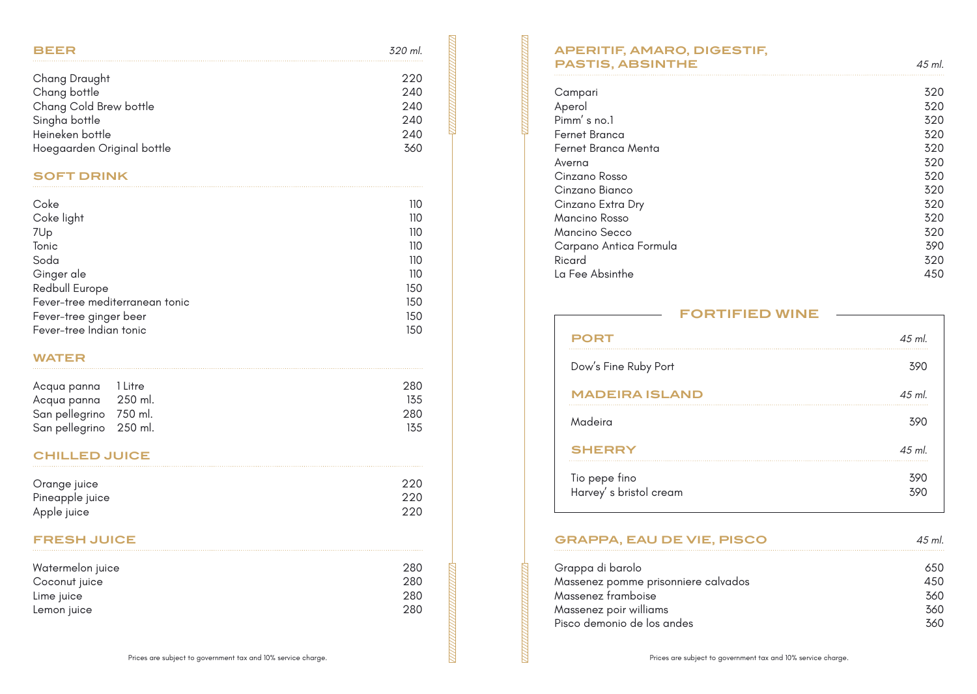| <b>BEER</b>                | .320 ml |
|----------------------------|---------|
| Chang Draught              | 220     |
| Chang bottle               | 240     |
| Chang Cold Brew bottle     | 240     |
| Singha bottle              | 240     |
| Heineken bottle            | 240     |
| Hoegaarden Original bottle | 360     |

## **SOFT DRINK**

| Coke                           | 110 |
|--------------------------------|-----|
| Coke light                     | 110 |
| 7Up                            | 110 |
| Tonic                          | 110 |
| Soda                           | 110 |
| Ginger ale                     | 110 |
| Redbull Europe                 | 150 |
| Fever-tree mediterranean tonic | 150 |
| Fever-tree ginger beer         | 150 |
| Fever-tree Indian tonic        | 150 |

#### **WATER**

| Acqua panna 1 Litre    | 280  |
|------------------------|------|
| Acqua panna 250 ml.    | 13.5 |
| San pellegrino 750 ml. | 280  |
| San pellegrino 250 ml. | 135  |

# **CHILLED JUICE**

| Orange juice    | 220 |
|-----------------|-----|
| Pineapple juice | 220 |
| Apple juice     | 220 |

### **FRESH JUICE**

| Watermelon juice | 280 |
|------------------|-----|
| Coconut juice    | 280 |
| Lime juice       | 280 |
| Lemon juice      | 280 |

# **APERITIF, AMARO, DIGESTIF, PASTIS, ABSINTHE** *45 ml.*

| Campari                | 320 |
|------------------------|-----|
| Aperol                 | 320 |
| Pimm's no.1            | 320 |
| Fernet Branca          | 320 |
| Fernet Branca Menta    | 320 |
| Averna                 | 320 |
| Cinzano Rosso          | 320 |
| Cinzano Bianco         | 320 |
| Cinzano Extra Dry      | 320 |
| Mancino Rosso          | 320 |
| Mancino Secco          | 320 |
| Carpano Antica Formula | 390 |
| Ricard                 | 320 |
| La Fee Absinthe        | 450 |
|                        |     |

| <b>FORTIFIED WINE</b>                   |            |
|-----------------------------------------|------------|
| <b>PORT</b>                             | $45$ ml.   |
| Dow's Fine Ruby Port                    | 390        |
| <b>MADEIRA ISLAND</b>                   | $45$ ml.   |
| Madeira                                 | 390        |
| <b>SHERRY</b>                           | $45$ ml.   |
| Tio pepe fino<br>Harvey's bristol cream | 390<br>390 |

# **GRAPPA, EAU DE VIE, PISCO** *45 ml.*

| Grappa di barolo                    | 650 |
|-------------------------------------|-----|
| Massenez pomme prisonniere calvados | 450 |
| Massenez framboise                  | 360 |
| Massenez poir williams              | 360 |
| Pisco demonio de los andes          | 360 |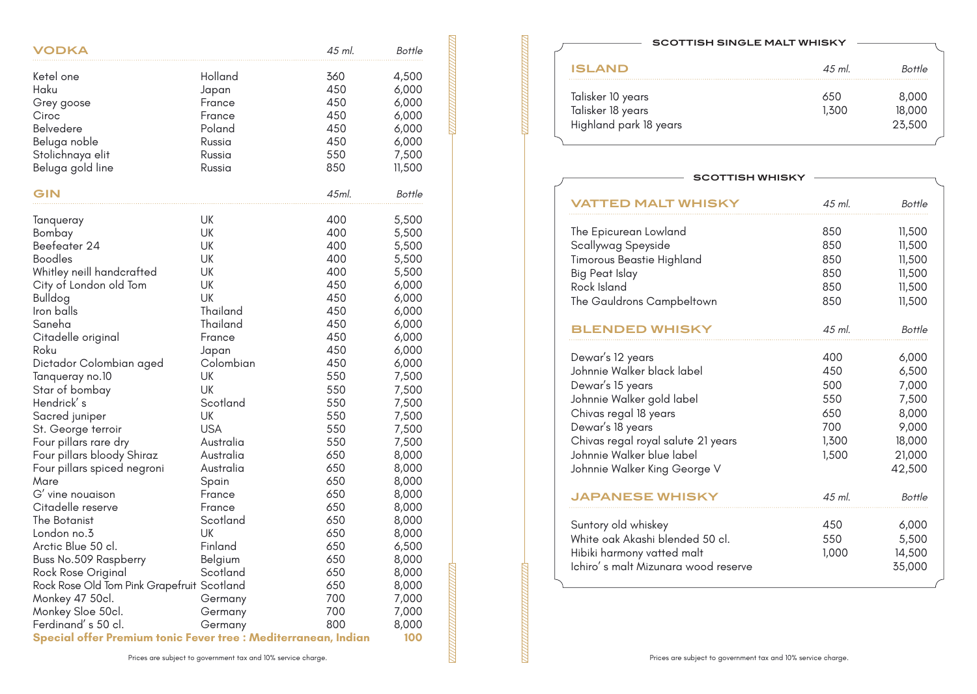| VODKA                                                                                                                                                                                                                                                                                                                                                                                                                                                                                                                                                                                                                                                              |                                                                                                                                                                                                                                                                                                                   | 45 ml.                                                                                                                                                                                                                       | Bottle                                                                                                                                                                                                                                                                                       |
|--------------------------------------------------------------------------------------------------------------------------------------------------------------------------------------------------------------------------------------------------------------------------------------------------------------------------------------------------------------------------------------------------------------------------------------------------------------------------------------------------------------------------------------------------------------------------------------------------------------------------------------------------------------------|-------------------------------------------------------------------------------------------------------------------------------------------------------------------------------------------------------------------------------------------------------------------------------------------------------------------|------------------------------------------------------------------------------------------------------------------------------------------------------------------------------------------------------------------------------|----------------------------------------------------------------------------------------------------------------------------------------------------------------------------------------------------------------------------------------------------------------------------------------------|
| Ketel one<br>Haku<br>Grey goose<br>Ciroc<br>Belvedere<br>Beluga noble<br>Stolichnaya elit<br>Beluga gold line                                                                                                                                                                                                                                                                                                                                                                                                                                                                                                                                                      | Holland<br>Japan<br>France<br>France<br>Poland<br>Russia<br>Russia<br>Russia                                                                                                                                                                                                                                      | 360<br>450<br>450<br>450<br>450<br>450<br>550<br>850                                                                                                                                                                         | 4,500<br>6,000<br>6,000<br>6,000<br>6,000<br>6,000<br>7,500<br>11,500                                                                                                                                                                                                                        |
| GIN                                                                                                                                                                                                                                                                                                                                                                                                                                                                                                                                                                                                                                                                |                                                                                                                                                                                                                                                                                                                   | 45ml.                                                                                                                                                                                                                        | Bottle                                                                                                                                                                                                                                                                                       |
| Tanqueray<br>Bombay<br>Beefeater 24<br><b>Boodles</b><br>Whitley neill handcrafted<br>City of London old Tom<br><b>Bulldog</b><br>Iron balls<br>Saneha<br>Citadelle original<br>Roku<br>Dictador Colombian aged<br>Tanqueray no.10<br>Star of bombay<br>Hendrick' s<br>Sacred juniper<br>St. George terroir<br>Four pillars rare dry<br>Four pillars bloody Shiraz<br>Four pillars spiced negroni<br>Mare<br>G' vine nouaison<br>Citadelle reserve<br>The Botanist<br>London no.3<br>Arctic Blue 50 cl.<br>Buss No.509 Raspberry<br>Rock Rose Original<br>Rock Rose Old Tom Pink Grapefruit Scotland<br>Monkey 47 50cl.<br>Monkey Sloe 50cl.<br>Ferdinand's 50 cl. | UK<br>UK<br><b>UK</b><br>UK<br>UK<br>UK<br>UK<br>Thailand<br>Thailand<br>France<br>Japan<br>Colombian<br>UK<br>UK<br>Scotland<br><b>UK</b><br><b>USA</b><br>Australia<br>Australia<br>Australia<br>Spain<br>France<br>France<br>Scotland<br>UK<br>Finland<br>Belgium<br>Scotland<br>Germany<br>Germany<br>Germany | 400<br>400<br>400<br>400<br>400<br>450<br>450<br>450<br>450<br>450<br>450<br>450<br>550<br>550<br>550<br>550<br>550<br>550<br>650<br>650<br>650<br>650<br>650<br>650<br>650<br>650<br>650<br>650<br>650<br>700<br>700<br>800 | 5,500<br>5,500<br>5,500<br>5,500<br>5,500<br>6,000<br>6,000<br>6,000<br>6,000<br>6,000<br>6,000<br>6,000<br>7,500<br>7,500<br>7,500<br>7,500<br>7,500<br>7,500<br>8,000<br>8,000<br>8,000<br>8,000<br>8,000<br>8,000<br>8,000<br>6,500<br>8,000<br>8,000<br>8,000<br>7,000<br>7,000<br>8,000 |
| Special offer Premium tonic Fever tree : Mediterranean, Indian                                                                                                                                                                                                                                                                                                                                                                                                                                                                                                                                                                                                     |                                                                                                                                                                                                                                                                                                                   |                                                                                                                                                                                                                              | 100                                                                                                                                                                                                                                                                                          |

#### **SCOTTISH SINGLE MALT WHISKY**

| <b>ISLAND</b>          | $45$ ml | Bottle |
|------------------------|---------|--------|
| Talisker 10 years      | 650     | 8,000  |
| Talisker 18 years      | 1,300   | 18,000 |
| Highland park 18 years |         | 23,500 |
|                        |         |        |

| SCOTTISH WHISKY                     |        |        |
|-------------------------------------|--------|--------|
| <b>/ATTED MALT WHISKY</b>           | 45 ml. | Bottle |
| The Epicurean Lowland               | 850    | 11,500 |
| Scallywag Speyside                  | 850    | 11,500 |
| Timorous Beastie Highland           | 850    | 11,500 |
| Big Peat Islay                      | 850    | 11,500 |
| Rock Island                         | 850    | 11,500 |
| The Gauldrons Campbeltown           | 850    | 11,500 |
| <b>BLENDED WHISKY</b>               | 45 ml. | Bottle |
| Dewar's 12 years                    | 400    | 6,000  |
| Johnnie Walker black label          | 450    | 6,500  |
| Dewar's 15 years                    | 500    | 7,000  |
| Johnnie Walker gold label           | 550    | 7,500  |
| Chivas regal 18 years               | 650    | 8,000  |
| Dewar's 18 years                    | 700    | 9,000  |
| Chivas regal royal salute 21 years  | 1,300  | 18,000 |
| Johnnie Walker blue label           | 1,500  | 21,000 |
| Johnnie Walker King George V        |        | 42,500 |
| <b>JAPANESE WHISKY</b>              | 45 ml. | Bottle |
| Suntory old whiskey                 | 450    | 6,000  |
| White oak Akashi blended 50 cl.     | 550    | 5,500  |
| Hibiki harmony vatted malt          | 1,000  | 14,500 |
| Ichiro's malt Mizunara wood reserve |        | 35,000 |
|                                     |        |        |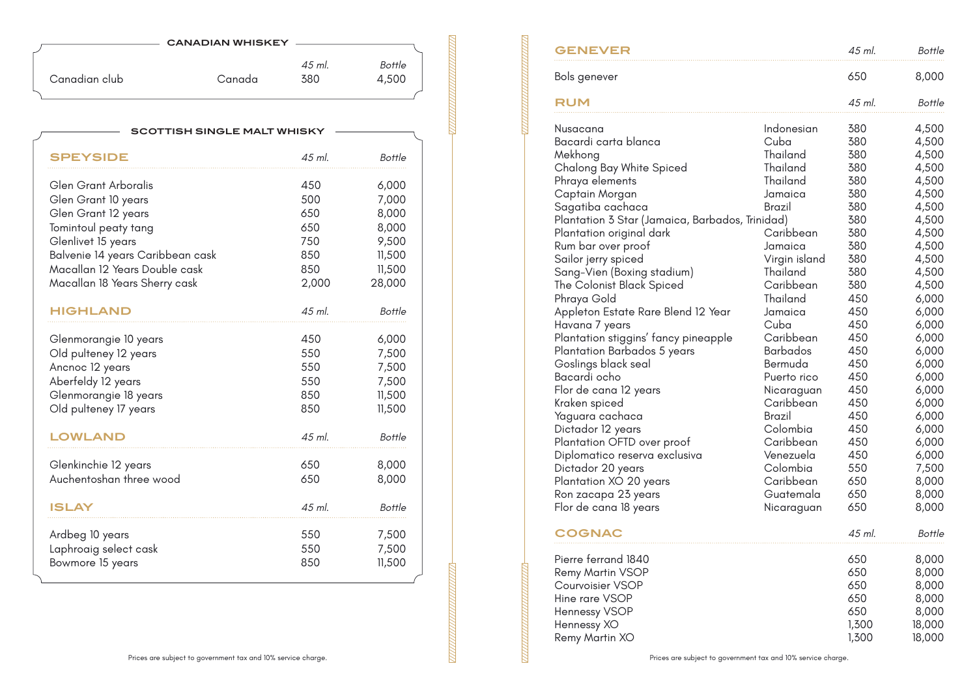| <b>CANADIAN WHISKEY</b> |  |  |
|-------------------------|--|--|
|-------------------------|--|--|

|               |        | 45 ml. | Bottle |
|---------------|--------|--------|--------|
| Canadian club | Canada | 380    | 4,500  |
|               |        |        |        |

| SCOTTISH SINGLE MALT WHISKY      |          |               |  |
|----------------------------------|----------|---------------|--|
| <b>SPEYSIDE</b>                  | $45$ ml. | Bottle        |  |
| Glen Grant Arboralis             | 450      | 6,000         |  |
| Glen Grant 10 years              | 500      | 7,000         |  |
| Glen Grant 12 years              | 650      | 8,000         |  |
| Tomintoul peaty tang             | 650      | 8,000         |  |
| Glenlivet 15 years               | 750      | 9,500         |  |
| Balvenie 14 years Caribbean cask | 850      | 11,500        |  |
| Macallan 12 Years Double cask    | 850      | 11,500        |  |
| Macallan 18 Years Sherry cask    | 2,000    | 28,000        |  |
| <b>HIGHLAND</b>                  | 45 ml.   | Bottle        |  |
| Glenmorangie 10 years            | 450      | 6,000         |  |
| Old pulteney 12 years            | 550      | 7,500         |  |
| Ancnoc 12 years                  | 550      | 7,500         |  |
| Aberfeldy 12 years               | 550      | 7,500         |  |
| Glenmorangie 18 years            | 850      | 11,500        |  |
| Old pulteney 17 years            | 850      | 11,500        |  |
| <b>OWLAND</b> .                  | 45 ml.   | <b>Bottle</b> |  |
| Glenkinchie 12 years             | 650      | 8,000         |  |
| Auchentoshan three wood          | 650      | 8,000         |  |
|                                  |          |               |  |
| <b>ISLAY</b>                     | 45 ml.   | Bottle        |  |
| Ardbeg 10 years                  | 550      | 7,500         |  |
| Laphroaig select cask            | 550      | 7,500         |  |
| Bowmore 15 years                 | 850      | 11,500        |  |
|                                  |          |               |  |

<u> TELEVISIONININ T</u>

| <b>GENEVER</b>                                  |                    | 45 ml.     | <b>Bottle</b>  |
|-------------------------------------------------|--------------------|------------|----------------|
| Bols genever                                    |                    | 650        | 8,000          |
| RUM                                             |                    | 45 ml.     | Bottle         |
| Nusacana<br>Bacardi carta blanca                | Indonesian<br>Cuba | 380<br>380 | 4,500<br>4,500 |
| Mekhong                                         | Thailand           | 380        | 4,500          |
| Chalong Bay White Spiced                        | Thailand           | 380        | 4,500          |
| Phraya elements                                 | Thailand           | 380        | 4,500          |
| Captain Morgan                                  | Jamaica            | 380        | 4,500          |
| Sagatiba cachaca                                | Brazil             | 380        | 4,500          |
| Plantation 3 Star (Jamaica, Barbados, Trinidad) |                    | 380        | 4,500          |
| Plantation original dark                        | Caribbean          | 380        | 4,500          |
| Rum bar over proof                              | Jamaica            | 380        | 4,500          |
| Sailor jerry spiced                             | Virgin island      | 380        | 4,500          |
| Sang-Vien (Boxing stadium)                      | Thailand           | 380        | 4,500          |
| The Colonist Black Spiced                       | Caribbean          | 380        | 4,500          |
| Phraya Gold                                     | Thailand           | 450        | 6,000          |
| Appleton Estate Rare Blend 12 Year              | Jamaica            | 450        | 6,000          |
| Havana 7 years                                  | Cuba               | 450        | 6,000          |
| Plantation stiggins' fancy pineapple            | Caribbean          | 450        | 6,000          |
| Plantation Barbados 5 years                     | <b>Barbados</b>    | 450        | 6,000          |
| Goslings black seal                             | Bermuda            | 450        | 6,000          |
| Bacardi ocho                                    | Puerto rico        | 450        | 6,000          |
| Flor de cana 12 years                           | Nicaraguan         | 450        | 6,000          |
| Kraken spiced                                   | Caribbean          | 450        | 6,000          |
| Yaguara cachaca                                 | Brazil<br>Colombia | 450<br>450 | 6,000          |
| Dictador 12 years<br>Plantation OFTD over proof | Caribbean          | 450        | 6,000<br>6,000 |
| Diplomatico reserva exclusiva                   | Venezuela          | 450        | 6,000          |
| Dictador 20 years                               | Colombia           | 550        | 7,500          |
| Plantation XO 20 years                          | Caribbean          | 650        | 8,000          |
| Ron zacapa 23 years                             | Guatemala          | 650        | 8,000          |
| Flor de cana 18 years                           | Nicaraguan         | 650        | 8,000          |
| <b>COGNAC</b>                                   |                    | 45 ml.     | Bottle         |
| Pierre ferrand 1840                             |                    | 650        | 8,000          |
| <b>Remy Martin VSOP</b>                         |                    | 650        | 8,000          |
| Courvoisier VSOP                                |                    | 650        | 8,000          |
| Hine rare VSOP                                  |                    | 650        | 8,000          |
| Hennessy VSOP                                   |                    | 650        | 8,000          |
| Hennessy XO                                     |                    | 1,300      | 18,000         |
| Remy Martin XO                                  |                    | 1,300      | 18,000         |